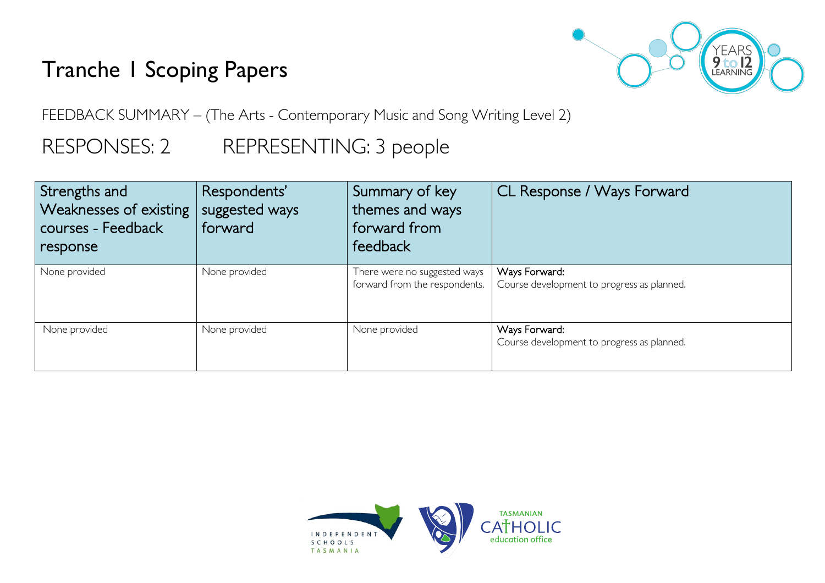# Tranche 1 Scoping Papers



FEEDBACK SUMMARY – (The Arts - Contemporary Music and Song Writing Level 2)

# RESPONSES: 2 REPRESENTING: 3 people

| Strengths and<br>Weaknesses of existing<br>  courses - Feedback<br>response | Respondents'<br>suggested ways<br>forward | Summary of key<br>themes and ways<br>forward from<br>feedback | CL Response / Ways Forward                                  |
|-----------------------------------------------------------------------------|-------------------------------------------|---------------------------------------------------------------|-------------------------------------------------------------|
| None provided                                                               | None provided                             | There were no suggested ways<br>forward from the respondents. | Ways Forward:<br>Course development to progress as planned. |
| None provided                                                               | None provided                             | None provided                                                 | Ways Forward:<br>Course development to progress as planned. |

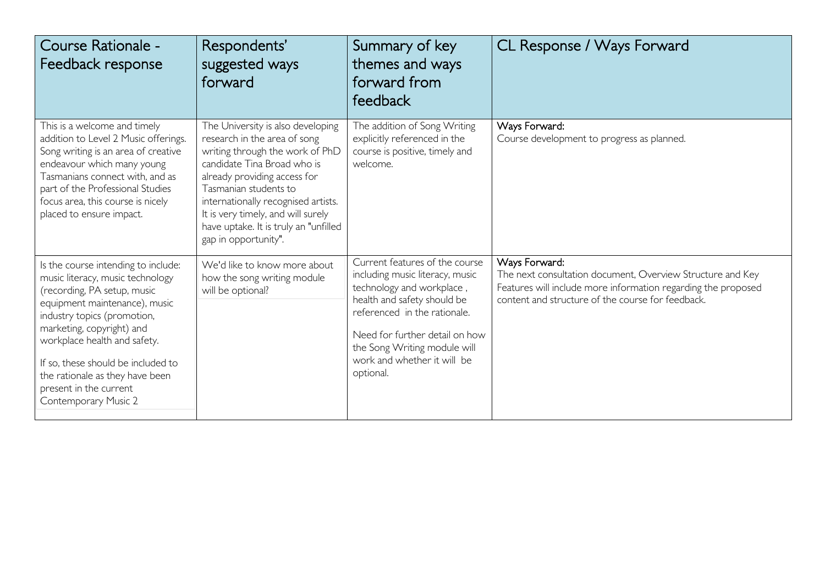| Course Rationale -<br>Feedback response                                                                                                                                                                                                                                                                                                                        | Respondents'<br>suggested ways<br>forward                                                                                                                                                                                                                                                                                                  | Summary of key<br>themes and ways<br>forward from<br>feedback                                                                                                                                                                                                               | CL Response / Ways Forward                                                                                                                                                                        |
|----------------------------------------------------------------------------------------------------------------------------------------------------------------------------------------------------------------------------------------------------------------------------------------------------------------------------------------------------------------|--------------------------------------------------------------------------------------------------------------------------------------------------------------------------------------------------------------------------------------------------------------------------------------------------------------------------------------------|-----------------------------------------------------------------------------------------------------------------------------------------------------------------------------------------------------------------------------------------------------------------------------|---------------------------------------------------------------------------------------------------------------------------------------------------------------------------------------------------|
| This is a welcome and timely<br>addition to Level 2 Music offerings.<br>Song writing is an area of creative<br>endeavour which many young<br>Tasmanians connect with, and as<br>part of the Professional Studies<br>focus area, this course is nicely<br>placed to ensure impact.                                                                              | The University is also developing<br>research in the area of song<br>writing through the work of PhD<br>candidate Tina Broad who is<br>already providing access for<br>Tasmanian students to<br>internationally recognised artists.<br>It is very timely, and will surely<br>have uptake. It is truly an "unfilled<br>gap in opportunity". | The addition of Song Writing<br>explicitly referenced in the<br>course is positive, timely and<br>welcome.                                                                                                                                                                  | Ways Forward:<br>Course development to progress as planned.                                                                                                                                       |
| Is the course intending to include:<br>music literacy, music technology<br>(recording, PA setup, music<br>equipment maintenance), music<br>industry topics (promotion,<br>marketing, copyright) and<br>workplace health and safety.<br>If so, these should be included to<br>the rationale as they have been<br>present in the current<br>Contemporary Music 2 | We'd like to know more about<br>how the song writing module<br>will be optional?                                                                                                                                                                                                                                                           | Current features of the course<br>including music literacy, music<br>technology and workplace,<br>health and safety should be<br>referenced in the rationale.<br>Need for further detail on how<br>the Song Writing module will<br>work and whether it will be<br>optional. | Ways Forward:<br>The next consultation document, Overview Structure and Key<br>Features will include more information regarding the proposed<br>content and structure of the course for feedback. |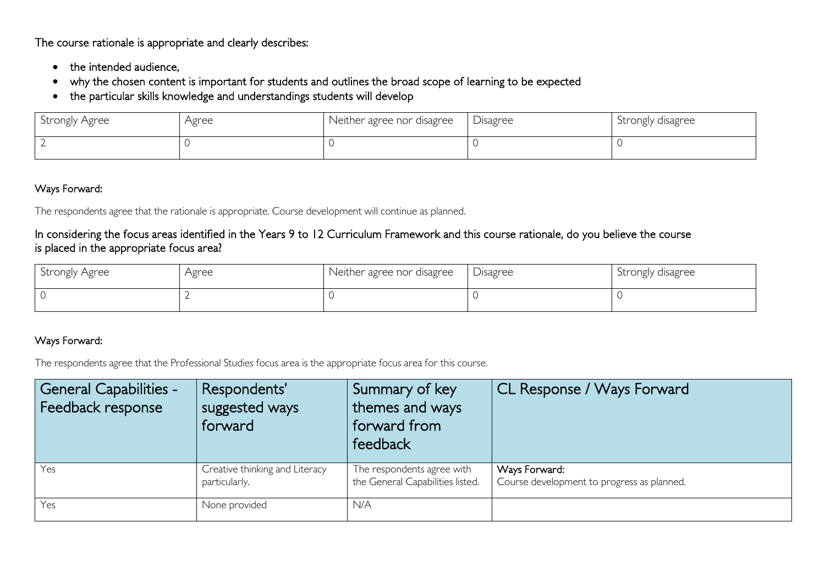The course rationale is appropriate and clearly describes:

- the intended audience,
- why the chosen content is important for students and outlines the broad scope of learning to be expected
- the particular skills knowledge and understandings students will develop

| Strongly Agree | Agree | Neither agree nor disagree | Disagree | Strongly disagree |
|----------------|-------|----------------------------|----------|-------------------|
|                |       |                            |          |                   |

#### Ways Forward:

The respondents agree that the rationale is appropriate. Course development will continue as planned.

### In considering the focus areas identified in the Years 9 to 12 Curriculum Framework and this course rationale, do you believe the course is placed in the appropriate focus area?

| Strongly Agree | Agree | Neither agree nor disagree | Disagree | Strongly disagree |
|----------------|-------|----------------------------|----------|-------------------|
|                |       |                            |          |                   |

## Ways Forward:

The respondents agree that the Professional Studies focus area is the appropriate focus area for this course.

| <b>General Capabilities -</b><br>Feedback response | Respondents'<br>suggested ways<br>forward       | Summary of key<br>themes and ways<br>forward from<br>feedback  | CL Response / Ways Forward                                  |
|----------------------------------------------------|-------------------------------------------------|----------------------------------------------------------------|-------------------------------------------------------------|
| Yes                                                | Creative thinking and Literacy<br>particularly. | The respondents agree with<br>the General Capabilities listed. | Ways Forward:<br>Course development to progress as planned. |
| Yes                                                | None provided                                   | N/A                                                            |                                                             |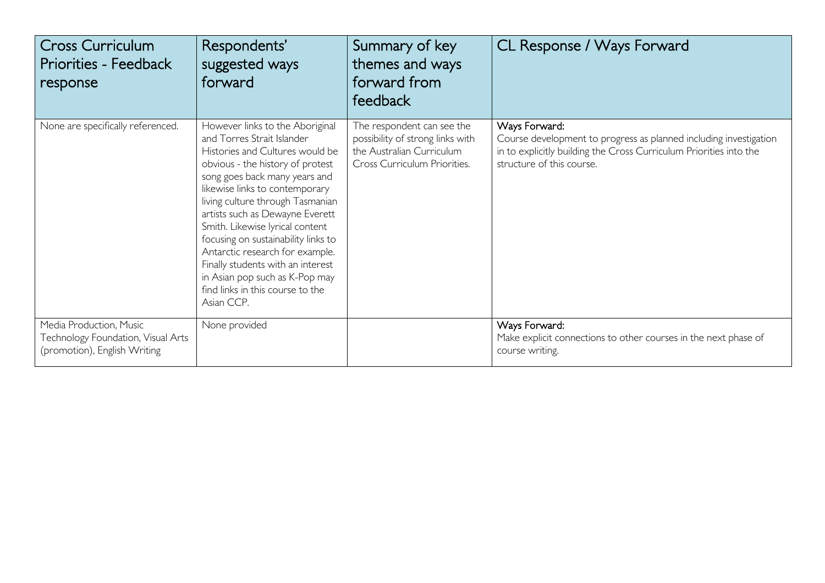| Cross Curriculum<br><b>Priorities - Feedback</b><br>response                                  | Respondents'<br>suggested ways<br>forward                                                                                                                                                                                                                                                                                                                                                                                                                                                                            | Summary of key<br>themes and ways<br>forward from<br>feedback                                                               | CL Response / Ways Forward                                                                                                                                                            |
|-----------------------------------------------------------------------------------------------|----------------------------------------------------------------------------------------------------------------------------------------------------------------------------------------------------------------------------------------------------------------------------------------------------------------------------------------------------------------------------------------------------------------------------------------------------------------------------------------------------------------------|-----------------------------------------------------------------------------------------------------------------------------|---------------------------------------------------------------------------------------------------------------------------------------------------------------------------------------|
| None are specifically referenced.                                                             | However links to the Aboriginal<br>and Torres Strait Islander<br>Histories and Cultures would be<br>obvious - the history of protest<br>song goes back many years and<br>likewise links to contemporary<br>living culture through Tasmanian<br>artists such as Dewayne Everett<br>Smith. Likewise lyrical content<br>focusing on sustainability links to<br>Antarctic research for example.<br>Finally students with an interest<br>in Asian pop such as K-Pop may<br>find links in this course to the<br>Asian CCP. | The respondent can see the<br>possibility of strong links with<br>the Australian Curriculum<br>Cross Curriculum Priorities. | Ways Forward:<br>Course development to progress as planned including investigation<br>in to explicitly building the Cross Curriculum Priorities into the<br>structure of this course. |
| Media Production, Music<br>Technology Foundation, Visual Arts<br>(promotion), English Writing | None provided                                                                                                                                                                                                                                                                                                                                                                                                                                                                                                        |                                                                                                                             | Ways Forward:<br>Make explicit connections to other courses in the next phase of<br>course writing.                                                                                   |